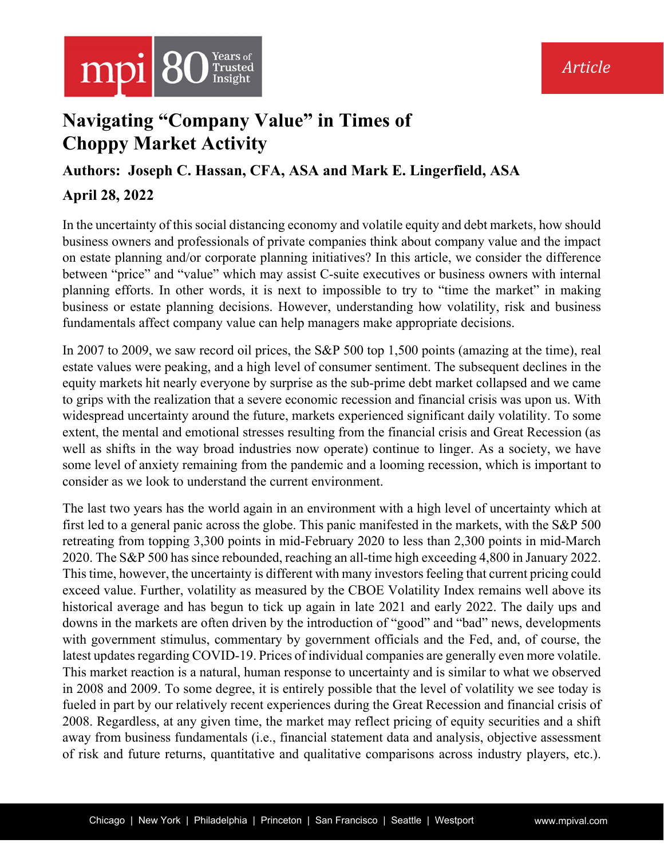

# **Navigating "Company Value" in Times of Choppy Market Activity**

### **Authors: Joseph C. Hassan, CFA, ASA and Mark E. Lingerfield, ASA**

## **April 28, 2022**

In the uncertainty of this social distancing economy and volatile equity and debt markets, how should business owners and professionals of private companies think about company value and the impact on estate planning and/or corporate planning initiatives? In this article, we consider the difference between "price" and "value" which may assist C-suite executives or business owners with internal planning efforts. In other words, it is next to impossible to try to "time the market" in making business or estate planning decisions. However, understanding how volatility, risk and business fundamentals affect company value can help managers make appropriate decisions.

In 2007 to 2009, we saw record oil prices, the S&P 500 top 1,500 points (amazing at the time), real estate values were peaking, and a high level of consumer sentiment. The subsequent declines in the equity markets hit nearly everyone by surprise as the sub-prime debt market collapsed and we came to grips with the realization that a severe economic recession and financial crisis was upon us. With widespread uncertainty around the future, markets experienced significant daily volatility. To some extent, the mental and emotional stresses resulting from the financial crisis and Great Recession (as well as shifts in the way broad industries now operate) continue to linger. As a society, we have some level of anxiety remaining from the pandemic and a looming recession, which is important to consider as we look to understand the current environment.

The last two years has the world again in an environment with a high level of uncertainty which at first led to a general panic across the globe. This panic manifested in the markets, with the S&P 500 retreating from topping 3,300 points in mid-February 2020 to less than 2,300 points in mid-March 2020. The S&P 500 has since rebounded, reaching an all-time high exceeding 4,800 in January 2022. This time, however, the uncertainty is different with many investors feeling that current pricing could exceed value. Further, volatility as measured by the CBOE Volatility Index remains well above its historical average and has begun to tick up again in late 2021 and early 2022. The daily ups and downs in the markets are often driven by the introduction of "good" and "bad" news, developments with government stimulus, commentary by government officials and the Fed, and, of course, the latest updates regarding COVID-19. Prices of individual companies are generally even more volatile. This market reaction is a natural, human response to uncertainty and is similar to what we observed in 2008 and 2009. To some degree, it is entirely possible that the level of volatility we see today is fueled in part by our relatively recent experiences during the Great Recession and financial crisis of 2008. Regardless, at any given time, the market may reflect pricing of equity securities and a shift away from business fundamentals (i.e., financial statement data and analysis, objective assessment of risk and future returns, quantitative and qualitative comparisons across industry players, etc.).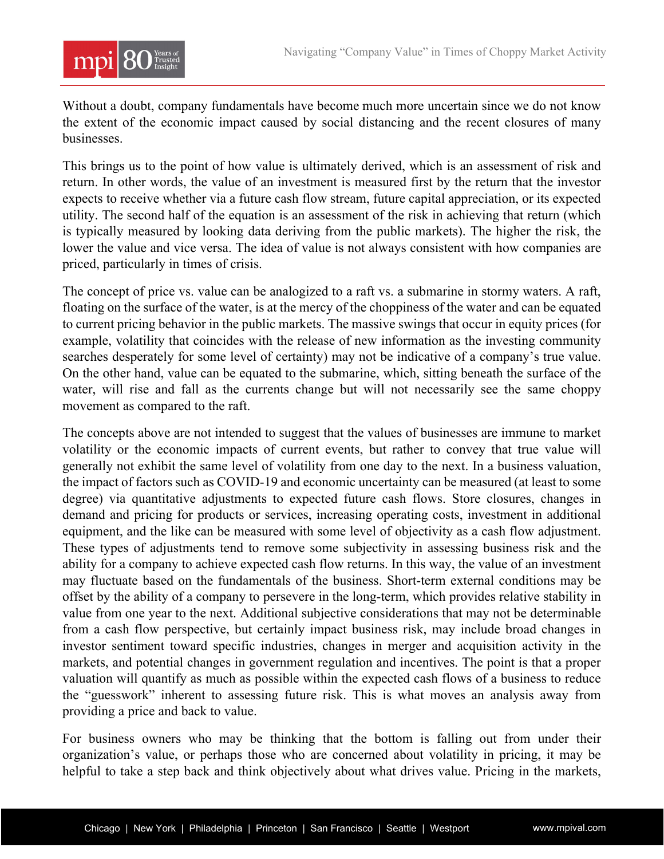

Without a doubt, company fundamentals have become much more uncertain since we do not know the extent of the economic impact caused by social distancing and the recent closures of many businesses.

This brings us to the point of how value is ultimately derived, which is an assessment of risk and return. In other words, the value of an investment is measured first by the return that the investor expects to receive whether via a future cash flow stream, future capital appreciation, or its expected utility. The second half of the equation is an assessment of the risk in achieving that return (which is typically measured by looking data deriving from the public markets). The higher the risk, the lower the value and vice versa. The idea of value is not always consistent with how companies are priced, particularly in times of crisis.

The concept of price vs. value can be analogized to a raft vs. a submarine in stormy waters. A raft, floating on the surface of the water, is at the mercy of the choppiness of the water and can be equated to current pricing behavior in the public markets. The massive swings that occur in equity prices (for example, volatility that coincides with the release of new information as the investing community searches desperately for some level of certainty) may not be indicative of a company's true value. On the other hand, value can be equated to the submarine, which, sitting beneath the surface of the water, will rise and fall as the currents change but will not necessarily see the same choppy movement as compared to the raft.

The concepts above are not intended to suggest that the values of businesses are immune to market volatility or the economic impacts of current events, but rather to convey that true value will generally not exhibit the same level of volatility from one day to the next. In a business valuation, the impact of factors such as COVID-19 and economic uncertainty can be measured (at least to some degree) via quantitative adjustments to expected future cash flows. Store closures, changes in demand and pricing for products or services, increasing operating costs, investment in additional equipment, and the like can be measured with some level of objectivity as a cash flow adjustment. These types of adjustments tend to remove some subjectivity in assessing business risk and the ability for a company to achieve expected cash flow returns. In this way, the value of an investment may fluctuate based on the fundamentals of the business. Short-term external conditions may be offset by the ability of a company to persevere in the long-term, which provides relative stability in value from one year to the next. Additional subjective considerations that may not be determinable from a cash flow perspective, but certainly impact business risk, may include broad changes in investor sentiment toward specific industries, changes in merger and acquisition activity in the markets, and potential changes in government regulation and incentives. The point is that a proper valuation will quantify as much as possible within the expected cash flows of a business to reduce the "guesswork" inherent to assessing future risk. This is what moves an analysis away from providing a price and back to value.

For business owners who may be thinking that the bottom is falling out from under their organization's value, or perhaps those who are concerned about volatility in pricing, it may be helpful to take a step back and think objectively about what drives value. Pricing in the markets,